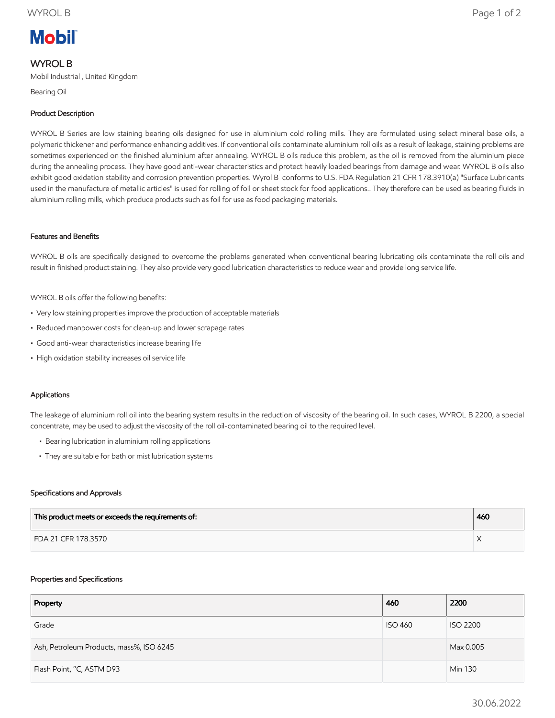# **Mobil**

# WYROL B

Mobil Industrial , United Kingdom

Bearing Oil

# Product Description

WYROL B Series are low staining bearing oils designed for use in aluminium cold rolling mills. They are formulated using select mineral base oils, a polymeric thickener and performance enhancing additives. If conventional oils contaminate aluminium roll oils as a result of leakage, staining problems are sometimes experienced on the finished aluminium after annealing. WYROL B oils reduce this problem, as the oil is removed from the aluminium piece during the annealing process. They have good anti-wear characteristics and protect heavily loaded bearings from damage and wear. WYROL B oils also exhibit good oxidation stability and corrosion prevention properties. Wyrol B conforms to U.S. FDA Regulation 21 CFR 178.3910(a) "Surface Lubricants used in the manufacture of metallic articles" is used for rolling of foil or sheet stock for food applications.. They therefore can be used as bearing fluids in aluminium rolling mills, which produce products such as foil for use as food packaging materials.

### Features and Benefits

WYROL B oils are specifically designed to overcome the problems generated when conventional bearing lubricating oils contaminate the roll oils and result in finished product staining. They also provide very good lubrication characteristics to reduce wear and provide long service life.

WYROL B oils offer the following benefits:

- Very low staining properties improve the production of acceptable materials
- Reduced manpower costs for clean-up and lower scrapage rates
- Good anti-wear characteristics increase bearing life
- High oxidation stability increases oil service life

### Applications

The leakage of aluminium roll oil into the bearing system results in the reduction of viscosity of the bearing oil. In such cases, WYROL B 2200, a special concentrate, may be used to adjust the viscosity of the roll oil-contaminated bearing oil to the required level.

- Bearing lubrication in aluminium rolling applications
- They are suitable for bath or mist lubrication systems

#### Specifications and Approvals

| This product meets or exceeds the requirements of: | 460 |
|----------------------------------------------------|-----|
| FDA 21 CFR 178.3570                                |     |

#### Properties and Specifications

| Property                                 | 460            | 2200            |
|------------------------------------------|----------------|-----------------|
| Grade                                    | <b>ISO 460</b> | <b>ISO 2200</b> |
| Ash, Petroleum Products, mass%, ISO 6245 |                | Max 0.005       |
| Flash Point, °C, ASTM D93                |                | Min 130         |